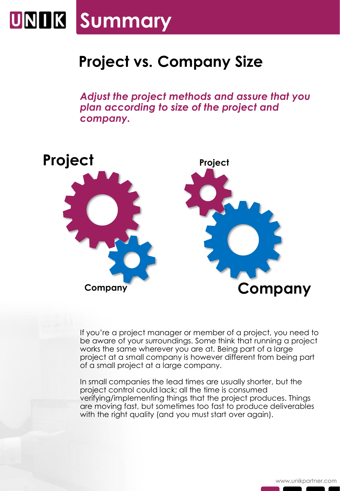## **UNIK Summary**

## **Project vs. Company Size**

*Adjust the project methods and assure that you plan according to size of the project and company.*



If you're a project manager or member of a project, you need to be aware of your surroundings. Some think that running a project works the same wherever you are at. Being part of a large project at a small company is however different from being part of a small project at a large company.

In small companies the lead times are usually shorter, but the project control could lack; all the time is consumed verifying/implementing things that the project produces. Things are moving fast, but sometimes too fast to produce deliverables with the right quality (and you must start over again).